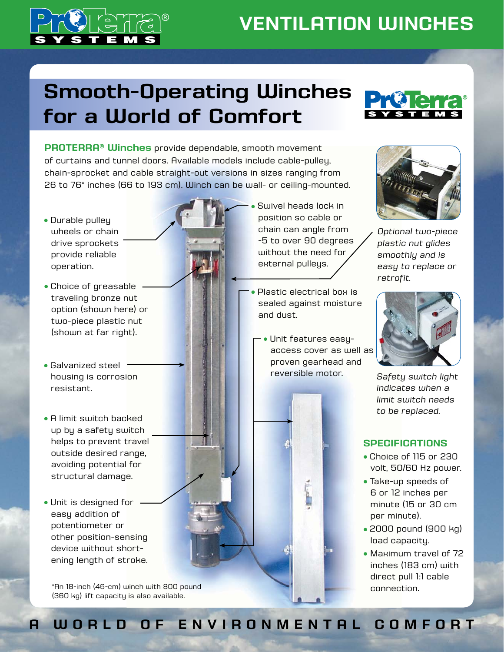

## **VENTILATION WINCHES**

# **Smooth-Operating Winches for a World of Comfort**

**PROTERRA® Winches** provide dependable, smooth movement of curtains and tunnel doors. Available models include cable-pulley, chain-sprocket and cable straight-out versions in sizes ranging from 26 to 76\* inches (66 to 193 cm). Winch can be wall- or ceiling-mounted.

- Durable pulley wheels or chain drive sprockets provide reliable operation.
- Choice of greasable traveling bronze nut option (shown here) or two-piece plastic nut (shown at far right).
- Galvanized steel housing is corrosion resistant.
- A limit switch backed up by a safety switch helps to prevent travel outside desired range, avoiding potential for structural damage.
- Unit is designed for easy addition of potentiometer or other position-sensing device without shortening length of stroke.

\*An 18-inch (46-cm) winch with 800 pound (360 kg) lift capacity is also available.

- Swivel heads lock in position so cable or chain can angle from -5 to over 90 degrees without the need for external pulleys.
- Plastic electrical box is sealed against moisture and dust.
	- Unit features easyaccess cover as well as proven gearhead and reversible motor.



*Optional two-piece plastic nut glides smoothly and is easy to replace or retrofit.*



*Safety switch light indicates when a limit switch needs to be replaced.*

#### **SPECIFICATIONS**

- <sup>l</sup> Choice of 115 or 230 volt, 50/60 Hz power.
- Take-up speeds of 6 or 12 inches per minute (15 or 30 cm per minute).
- 2000 pound (900 kg) load capacity.
- Maximum travel of 72 inches (183 cm) with direct pull 1:1 cable connection.

### **A WORLD OF ENVIRONMENTAL COMFORT**